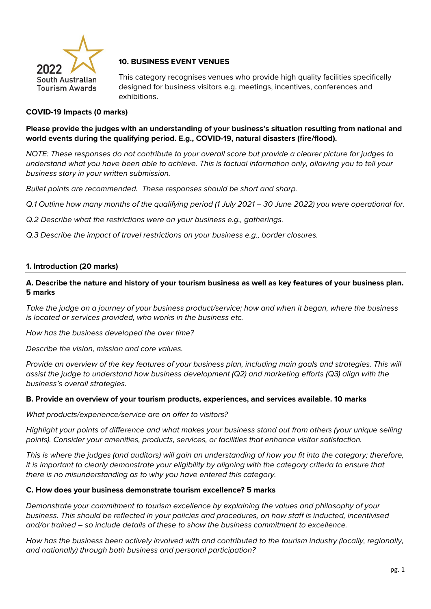

# **10. BUSINESS EVENT VENUES**

This category recognises venues who provide high quality facilities specifically designed for business visitors e.g. meetings, incentives, conferences and exhibitions.

## **COVID-19 Impacts (0 marks)**

## **Please provide the judges with an understanding of your business's situation resulting from national and world events during the qualifying period. E.g., COVID-19, natural disasters (fire/flood).**

*NOTE: These responses do not contribute to your overall score but provide a clearer picture for judges to understand what you have been able to achieve. This is factual information only, allowing you to tell your business story in your written submission.* 

*Bullet points are recommended. These responses should be short and sharp.*

*Q.1 Outline how many months of the qualifying period (1 July 2021 – 30 June 2022) you were operational for.* 

*Q.2 Describe what the restrictions were on your business e.g., gatherings.* 

*Q.3 Describe the impact of travel restrictions on your business e.g., border closures.* 

### **1. Introduction (20 marks)**

### **A. Describe the nature and history of your tourism business as well as key features of your business plan. 5 marks**

*Take the judge on a journey of your business product/service; how and when it began, where the business is located or services provided, who works in the business etc.*

*How has the business developed the over time?*

*Describe the vision, mission and core values.* 

*Provide an overview of the key features of your business plan, including main goals and strategies. This will assist the judge to understand how business development (Q2) and marketing efforts (Q3) align with the business's overall strategies.* 

#### **B. Provide an overview of your tourism products, experiences, and services available. 10 marks**

*What products/experience/service are on offer to visitors?*

*Highlight your points of difference and what makes your business stand out from others (your unique selling points). Consider your amenities, products, services, or facilities that enhance visitor satisfaction.*

*This is where the judges (and auditors) will gain an understanding of how you fit into the category; therefore, it is important to clearly demonstrate your eligibility by aligning with the category criteria to ensure that there is no misunderstanding as to why you have entered this category.*

#### **C. How does your business demonstrate tourism excellence? 5 marks**

*Demonstrate your commitment to tourism excellence by explaining the values and philosophy of your business. This should be reflected in your policies and procedures, on how staff is inducted, incentivised and/or trained – so include details of these to show the business commitment to excellence.*

*How has the business been actively involved with and contributed to the tourism industry (locally, regionally, and nationally) through both business and personal participation?*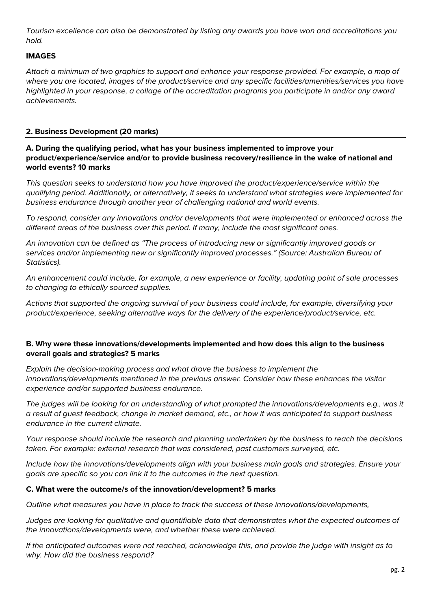*Tourism excellence can also be demonstrated by listing any awards you have won and accreditations you hold.* 

## **IMAGES**

*Attach a minimum of two graphics to support and enhance your response provided. For example, a map of where you are located, images of the product/service and any specific facilities/amenities/services you have highlighted in your response, a collage of the accreditation programs you participate in and/or any award achievements.* 

### **2. Business Development (20 marks)**

**A. During the qualifying period, what has your business implemented to improve your product/experience/service and/or to provide business recovery/resilience in the wake of national and world events? 10 marks**

*This question seeks to understand how you have improved the product/experience/service within the qualifying period. Additionally, or alternatively, it seeks to understand what strategies were implemented for business endurance through another year of challenging national and world events.* 

*To respond, consider any innovations and/or developments that were implemented or enhanced across the different areas of the business over this period. If many, include the most significant ones.*

*An innovation can be defined as "The process of introducing new or significantly improved goods or services and/or implementing new or significantly improved processes." (Source: Australian Bureau of Statistics).*

*An enhancement could include, for example, a new experience or facility, updating point of sale processes to changing to ethically sourced supplies.* 

*Actions that supported the ongoing survival of your business could include, for example, diversifying your product/experience, seeking alternative ways for the delivery of the experience/product/service, etc.* 

### **B. Why were these innovations/developments implemented and how does this align to the business overall goals and strategies? 5 marks**

*Explain the decision-making process and what drove the business to implement the innovations/developments mentioned in the previous answer. Consider how these enhances the visitor experience and/or supported business endurance.* 

*The judges will be looking for an understanding of what prompted the innovations/developments e.g., was it a result of guest feedback, change in market demand, etc., or how it was anticipated to support business endurance in the current climate.*

*Your response should include the research and planning undertaken by the business to reach the decisions taken. For example: external research that was considered, past customers surveyed, etc.* 

*Include how the innovations/developments align with your business main goals and strategies. Ensure your goals are specific so you can link it to the outcomes in the next question.*

## **C. What were the outcome/s of the innovation/development? 5 marks**

*Outline what measures you have in place to track the success of these innovations/developments,*

*Judges are looking for qualitative and quantifiable data that demonstrates what the expected outcomes of the innovations/developments were, and whether these were achieved.*

*If the anticipated outcomes were not reached, acknowledge this, and provide the judge with insight as to why. How did the business respond?*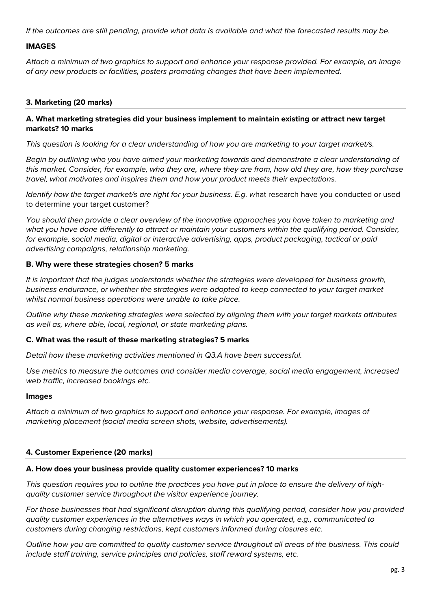*If the outcomes are still pending, provide what data is available and what the forecasted results may be.*

### **IMAGES**

*Attach a minimum of two graphics to support and enhance your response provided. For example, an image of any new products or facilities, posters promoting changes that have been implemented.* 

### **3. Marketing (20 marks)**

### **A. What marketing strategies did your business implement to maintain existing or attract new target markets? 10 marks**

*This question is looking for a clear understanding of how you are marketing to your target market/s.* 

*Begin by outlining who you have aimed your marketing towards and demonstrate a clear understanding of this market. Consider, for example, who they are, where they are from, how old they are, how they purchase travel, what motivates and inspires them and how your product meets their expectations.* 

*Identify how the target market/s are right for your business. E.g. w*hat research have you conducted or used to determine your target customer?

*You should then provide a clear overview of the innovative approaches you have taken to marketing and what you have done differently to attract or maintain your customers within the qualifying period. Consider, for example, social media, digital or interactive advertising, apps, product packaging, tactical or paid advertising campaigns, relationship marketing.*

#### **B. Why were these strategies chosen? 5 marks**

*It is important that the judges understands whether the strategies were developed for business growth, business endurance, or whether the strategies were adopted to keep connected to your target market whilst normal business operations were unable to take place.* 

*Outline why these marketing strategies were selected by aligning them with your target markets attributes as well as, where able, local, regional, or state marketing plans.* 

#### **C. What was the result of these marketing strategies? 5 marks**

*Detail how these marketing activities mentioned in Q3.A have been successful.* 

*Use metrics to measure the outcomes and consider media coverage, social media engagement, increased web traffic, increased bookings etc.* 

#### **Images**

*Attach a minimum of two graphics to support and enhance your response. For example, images of marketing placement (social media screen shots, website, advertisements).*

#### **4. Customer Experience (20 marks)**

#### **A. How does your business provide quality customer experiences? 10 marks**

*This question requires you to outline the practices you have put in place to ensure the delivery of highquality customer service throughout the visitor experience journey.* 

*For those businesses that had significant disruption during this qualifying period, consider how you provided quality customer experiences in the alternatives ways in which you operated, e.g., communicated to customers during changing restrictions, kept customers informed during closures etc.* 

*Outline how you are committed to quality customer service throughout all areas of the business. This could include staff training, service principles and policies, staff reward systems, etc.*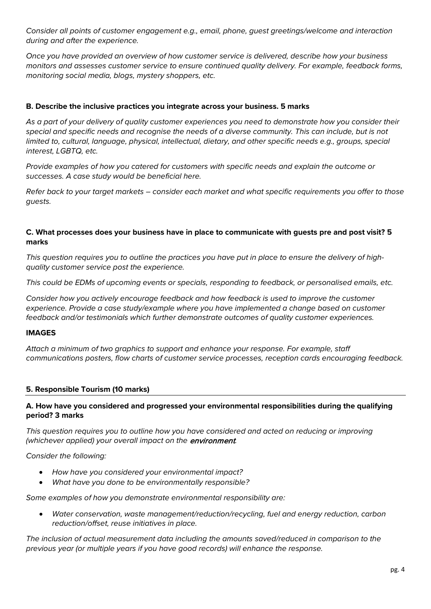*Consider all points of customer engagement e.g., email, phone, guest greetings/welcome and interaction during and after the experience.*

*Once you have provided an overview of how customer service is delivered, describe how your business monitors and assesses customer service to ensure continued quality delivery. For example, feedback forms, monitoring social media, blogs, mystery shoppers, etc.* 

# **B. Describe the inclusive practices you integrate across your business. 5 marks**

*As a part of your delivery of quality customer experiences you need to demonstrate how you consider their* special and specific needs and recoanise the needs of a diverse community. This can include, but is not *limited to, cultural, language, physical, intellectual, dietary, and other specific needs e.g., groups, special interest, LGBTQ, etc.*

*Provide examples of how you catered for customers with specific needs and explain the outcome or successes. A case study would be beneficial here.* 

*Refer back to your target markets – consider each market and what specific requirements you offer to those guests.*

### **C. What processes does your business have in place to communicate with guests pre and post visit? 5 marks**

*This question requires you to outline the practices you have put in place to ensure the delivery of highquality customer service post the experience.* 

*This could be EDMs of upcoming events or specials, responding to feedback, or personalised emails, etc.* 

*Consider how you actively encourage feedback and how feedback is used to improve the customer experience. Provide a case study/example where you have implemented a change based on customer feedback and/or testimonials which further demonstrate outcomes of quality customer experiences.* 

#### **IMAGES**

*Attach a minimum of two graphics to support and enhance your response. For example, staff communications posters, flow charts of customer service processes, reception cards encouraging feedback.* 

## **5. Responsible Tourism (10 marks)**

### **A. How have you considered and progressed your environmental responsibilities during the qualifying period? 3 marks**

*This question requires you to outline how you have considered and acted on reducing or improving (whichever applied) your overall impact on the* environment*.* 

*Consider the following:*

- *How have you considered your environmental impact?*
- *What have you done to be environmentally responsible?*

*Some examples of how you demonstrate environmental responsibility are:*

• *Water conservation, waste management/reduction/recycling, fuel and energy reduction, carbon reduction/offset, reuse initiatives in place.*

*The inclusion of actual measurement data including the amounts saved/reduced in comparison to the previous year (or multiple years if you have good records) will enhance the response.*